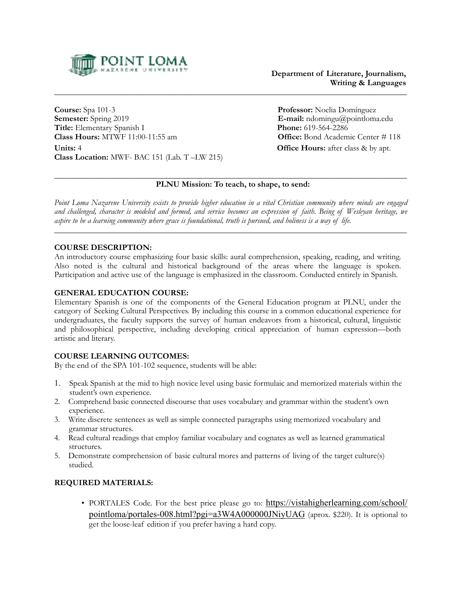

**Course:** Spa 101-3 **Professor:** Noelia Domínguez **Semester:** Spring 2019 **E-mail:** ndomingu@pointloma.edu **Title:** Elementary Spanish I **Phone:** 619-564-2286<br> **Class Hours:** MTWF 11:00-11:55 am **Office:** Bond Academ **Units:** 4 **Office Hours:** after class & by apt. **Class Location:** MWF- BAC 151 (Lab. T –LW 215)

**Office:** Bond Academic Center # 118

#### $\_$  , and the set of the set of the set of the set of the set of the set of the set of the set of the set of the set of the set of the set of the set of the set of the set of the set of the set of the set of the set of th  **PLNU Mission: To teach, to shape, to send:**

*Point Loma Nazarene University exists to provide higher education in a vital Christian community where minds are engaged and challenged, character is modeled and formed, and service becomes an expression of faith. Being of Wesleyan heritage, we aspire to be a learning community where grace is foundational, truth is pursued, and holiness is a way of life.* 

 $\_$  , and the set of the set of the set of the set of the set of the set of the set of the set of the set of the set of the set of the set of the set of the set of the set of the set of the set of the set of the set of th

### **COURSE DESCRIPTION:**

An introductory course emphasizing four basic skills: aural comprehension, speaking, reading, and writing. Also noted is the cultural and historical background of the areas where the language is spoken. Participation and active use of the language is emphasized in the classroom. Conducted entirely in Spanish.

### **GENERAL EDUCATION COURSE:**

Elementary Spanish is one of the components of the General Education program at PLNU, under the category of Seeking Cultural Perspectives. By including this course in a common educational experience for undergraduates, the faculty supports the survey of human endeavors from a historical, cultural, linguistic and philosophical perspective, including developing critical appreciation of human expression—both artistic and literary.

## **COURSE LEARNING OUTCOMES:**

By the end of the SPA 101-102 sequence, students will be able:

- 1. Speak Spanish at the mid to high novice level using basic formulaic and memorized materials within the student's own experience.
- 2. Comprehend basic connected discourse that uses vocabulary and grammar within the student's own experience.
- 3. Write discrete sentences as well as simple connected paragraphs using memorized vocabulary and grammar structures.
- 4. Read cultural readings that employ familiar vocabulary and cognates as well as learned grammatical structures.
- 5. Demonstrate comprehension of basic cultural mores and patterns of living of the target culture(s) studied.

## **REQUIRED MATERIALS:**

• PORTALES Code. For the best price please go to: [https://vistahigherlearning.com/school/](https://vistahigherlearning.com/school/pointloma/portales-008.html?pgi=a3W4A000000JNiyUAG) [pointloma/portales-008.html?pgi=a3W4A000000JNiyUAG](https://vistahigherlearning.com/school/pointloma/portales-008.html?pgi=a3W4A000000JNiyUAG) (aprox. \$220). It is optional to get the loose-leaf edition if you prefer having a hard copy.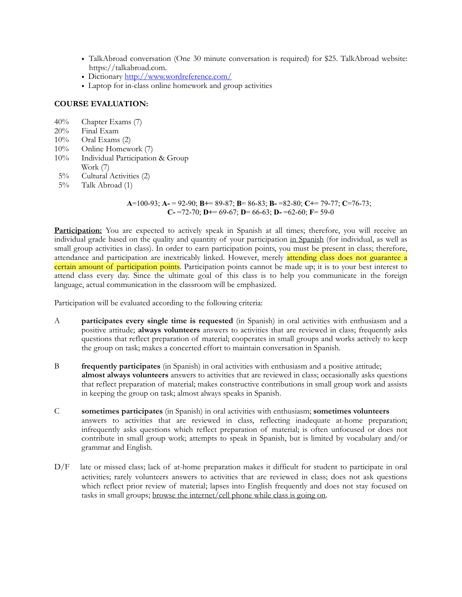- TalkAbroad conversation (One 30 minute conversation is required) for \$25. TalkAbroad website: https://talkabroad.com.
- Dictionary<http://www.wordreference.com/>
- Laptop for in-class online homework and group activities

# **COURSE EVALUATION:**

- 40% Chapter Exams (7)
- 20% Final Exam
- $10\%$  Oral Exams  $(2)$
- 10% Online Homework (7)
- 10% Individual Participation & Group Work (7)
- 5% Cultural Activities (2)
- 5% Talk Abroad (1)

 **A**=100-93; **A-** = 92-90; **B+**= 89-87; **B**= 86-83; **B-** =82-80; **C+**= 79-77; **C**=76-73; **C-** =72-70; **D+**= 69-67; **D**= 66-63; **D-** =62-60; **F**= 59-0

Participation: You are expected to actively speak in Spanish at all times; therefore, you will receive an individual grade based on the quality and quantity of your participation in Spanish (for individual, as well as small group activities in class). In order to earn participation points, you must be present in class; therefore, attendance and participation are inextricably linked. However, merely attending class does not guarantee a certain amount of participation points. Participation points cannot be made up; it is to your best interest to attend class every day. Since the ultimate goal of this class is to help you communicate in the foreign language, actual communication in the classroom will be emphasized.

Participation will be evaluated according to the following criteria:

- A **participates every single time is requested** (in Spanish) in oral activities with enthusiasm and a positive attitude; **always volunteers** answers to activities that are reviewed in class; frequently asks questions that reflect preparation of material; cooperates in small groups and works actively to keep the group on task; makes a concerted effort to maintain conversation in Spanish.
- B **frequently participates** (in Spanish) in oral activities with enthusiasm and a positive attitude; **almost always volunteers** answers to activities that are reviewed in class; occasionally asks questions that reflect preparation of material; makes constructive contributions in small group work and assists in keeping the group on task; almost always speaks in Spanish.
- C **sometimes participates** (in Spanish) in oral activities with enthusiasm; **sometimes volunteers** answers to activities that are reviewed in class, reflecting inadequate at-home preparation; infrequently asks questions which reflect preparation of material; is often unfocused or does not contribute in small group work; attempts to speak in Spanish, but is limited by vocabulary and/or grammar and English.
- D/F late or missed class; lack of at-home preparation makes it difficult for student to participate in oral activities; rarely volunteers answers to activities that are reviewed in class; does not ask questions which reflect prior review of material; lapses into English frequently and does not stay focused on tasks in small groups; browse the internet/cell phone while class is going on.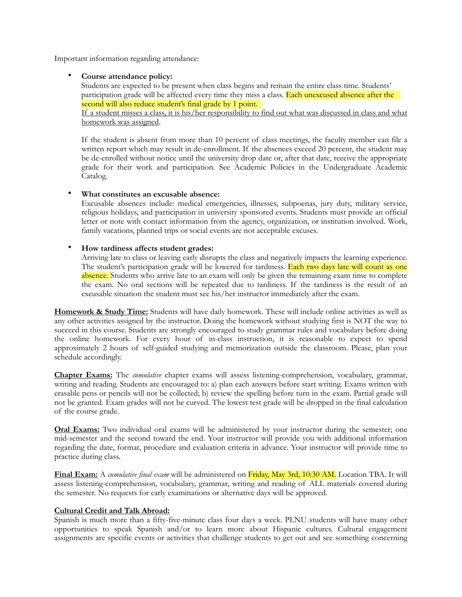Important information regarding attendance:

## • **Course attendance policy:**

 Students are expected to be present when class begins and remain the entire class time. Students' participation grade will be affected every time they miss a class. Each unexcused absence after the second will also reduce student's final grade by 1 point.

If a student misses a class, it is his/her responsibility to find out what was discussed in class and what homework was assigned.

If the student is absent from more than 10 percent of class meetings, the faculty member can file a written report which may result in de-enrollment. If the absences exceed 20 percent, the student may be de-enrolled without notice until the university drop date or, after that date, receive the appropriate grade for their work and participation. See Academic Policies in the Undergraduate Academic Catalog.

### • **What constitutes an excusable absence:**

Excusable absences include: medical emergencies, illnesses, subpoenas, jury duty, military service, religious holidays, and participation in university sponsored events. Students must provide an official letter or note with contact information from the agency, organization, or institution involved. Work, family vacations, planned trips or social events are not acceptable excuses.

## • **How tardiness affects student grades:**

Arriving late to class or leaving early disrupts the class and negatively impacts the learning experience. The student's participation grade will be lowered for tardiness. Each two days late will count as one absence. Students who arrive late to an exam will only be given the remaining exam time to complete the exam. No oral sections will be repeated due to tardiness. If the tardiness is the result of an excusable situation the student must see his/her instructor immediately after the exam.

**Homework & Study Time:** Students will have daily homework. These will include online activities as well as any other activities assigned by the instructor. Doing the homework without studying first is NOT the way to succeed in this course. Students are strongly encouraged to study grammar rules and vocabulary before doing the online homework. For every hour of in-class instruction, it is reasonable to expect to spend approximately 2 hours of self-guided studying and memorization outside the classroom. Please, plan your schedule accordingly.

**Chapter Exams:** The *cumulative* chapter exams will assess listening-comprehension, vocabulary, grammar, writing and reading. Students are encouraged to: a) plan each answers before start writing. Exams written with erasable pens or pencils will not be collected; b) review the spelling before turn in the exam. Partial grade will not be granted. Exam grades will not be curved. The lowest test grade will be dropped in the final calculation of the course grade.

**Oral Exams:** Two individual oral exams will be administered by your instructor during the semester; one mid-semester and the second toward the end. Your instructor will provide you with additional information regarding the date, format, procedure and evaluation criteria in advance. Your instructor will provide time to practice during class.

**Final Exam:** A *cumulative final exam* will be administered on Friday, May 3rd, 10:30 AM. Location TBA. It will assess listening-comprehension, vocabulary, grammar, writing and reading of ALL materials covered during the semester. No requests for early examinations or alternative days will be approved.

#### **Cultural Credit and Talk Abroad:**

Spanish is much more than a fifty-five-minute class four days a week. PLNU students will have many other opportunities to speak Spanish and/or to learn more about Hispanic cultures. Cultural engagement assignments are specific events or activities that challenge students to get out and see something concerning